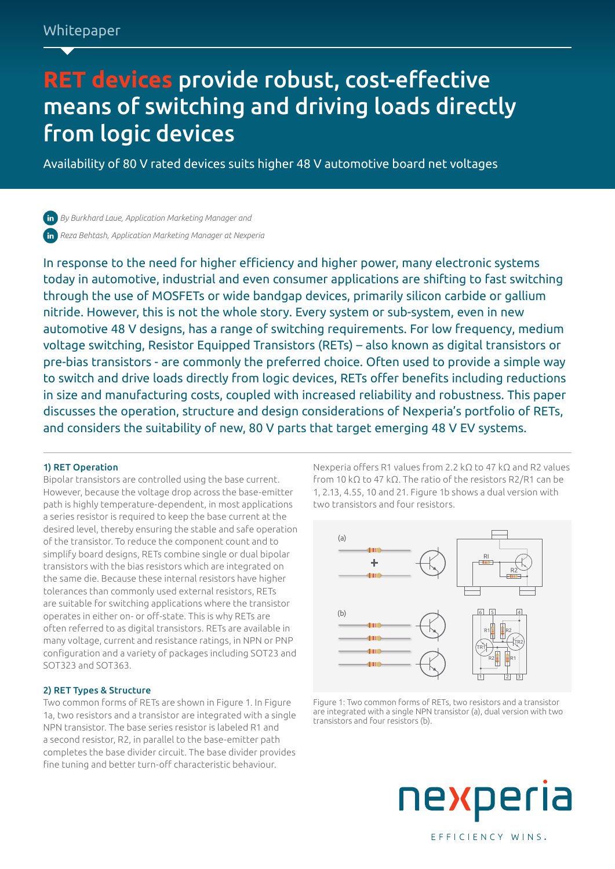# **RET devices** provide robust, cost-effective means of switching and driving loads directly from logic devices

Availability of 80 V rated devices suits higher 48 V automotive board net voltages

*[By Burkhard Laue, Application Marketing Manager and](https://www.linkedin.com/in/burkhard-laue-19339a23/) [Reza Behtash, Application Marketing Manager at Nexperia](https://www.linkedin.com/in/reza-behtash-9265991b0/)*

In response to the need for higher efficiency and higher power, many electronic systems today in automotive, industrial and even consumer applications are shifting to fast switching through the use of MOSFETs or wide bandgap devices, primarily silicon carbide or gallium nitride. However, this is not the whole story. Every system or sub-system, even in new automotive 48 V designs, has a range of switching requirements. For low frequency, medium voltage switching, Resistor Equipped Transistors (RETs) – also known as digital transistors or pre-bias transistors - are commonly the preferred choice. Often used to provide a simple way to switch and drive loads directly from logic devices, RETs offer benefits including reductions in size and manufacturing costs, coupled with increased reliability and robustness. This paper discusses the operation, structure and design considerations of Nexperia's portfolio of RETs, and considers the suitability of new, 80 V parts that target emerging 48 V EV systems.

# 1) RET Operation

Bipolar transistors are controlled using the base current. However, because the voltage drop across the base-emitter path is highly temperature-dependent, in most applications a series resistor is required to keep the base current at the desired level, thereby ensuring the stable and safe operation of the transistor. To reduce the component count and to simplify board designs, RETs combine single or dual bipolar transistors with the bias resistors which are integrated on the same die. Because these internal resistors have higher tolerances than commonly used external resistors, RETs are suitable for switching applications where the transistor operates in either on- or off-state. This is why RETs are often referred to as digital transistors. RETs are available in many voltage, current and resistance ratings, in NPN or PNP configuration and a variety of packages including SOT23 and SOT323 and SOT363.

# 2) RET Types & Structure

Two common forms of RETs are shown in Figure 1. In Figure 1a, two resistors and a transistor are integrated with a single NPN transistor. The base series resistor is labeled R1 and a second resistor, R2, in parallel to the base-emitter path completes the base divider circuit. The base divider provides fine tuning and better turn-off characteristic behaviour.

Nexperia offers R1 values from 2.2 kΩ to 47 kΩ and R2 values from 10 kΩ to 47 kΩ. The ratio of the resistors R2/R1 can be 1, 2.13, 4.55, 10 and 21. Figure 1b shows a dual version with two transistors and four resistors.



Figure 1: Two common forms of RETs, two resistors and a transistor are integrated with a single NPN transistor (a), dual version with two transistors and four resistors (b).

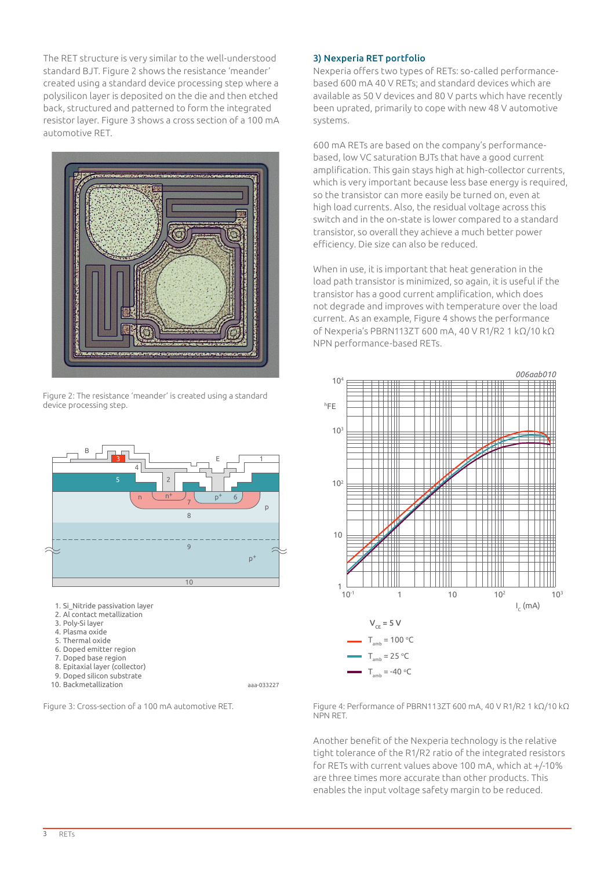The RET structure is very similar to the well-understood standard BJT. Figure 2 shows the resistance 'meander' created using a standard device processing step where a polysilicon layer is deposited on the die and then etched back, structured and patterned to form the integrated resistor layer. Figure 3 shows a cross section of a 100 mA automotive RET.



Figure 2: The resistance 'meander' is created using a standard device processing step.



- 1. Si\_Nitride passivation layer
- 2. Al contact metallization
- 3. Poly-Si layer
- 4. Plasma oxide
- 5. Thermal oxide
- 6. Doped emitter region
- 7. Doped base region
- 8. Epitaxial layer (collector)
- 9. Doped silicon substrate
- 10. Backmetallization

aaa-033227

# 3) Nexperia RET portfolio

Nexperia offers two types of RETs: so-called performancebased 600 mA 40 V RETs; and standard devices which are available as 50 V devices and 80 V parts which have recently been uprated, primarily to cope with new 48 V automotive systems.

600 mA RETs are based on the company's performancebased, low VC saturation BJTs that have a good current amplification. This gain stays high at high-collector currents, which is very important because less base energy is required, so the transistor can more easily be turned on, even at high load currents. Also, the residual voltage across this switch and in the on-state is lower compared to a standard transistor, so overall they achieve a much better power efficiency. Die size can also be reduced.

When in use, it is important that heat generation in the load path transistor is minimized, so again, it is useful if the transistor has a good current amplification, which does not degrade and improves with temperature over the load current. As an example, Figure 4 shows the performance of Nexperia's PBRN113ZT 600 mA, 40 V R1/R2 1 kΩ/10 kΩ NPN performance-based RETs.



Figure 3: Cross-section of a 100 mA automotive RET. Figure 4: Performance of PBRN113ZT 600 mA, 40 V R1/R2 1 kΩ/10 kΩ NPN RET.

> Another benefit of the Nexperia technology is the relative tight tolerance of the R1/R2 ratio of the integrated resistors for RETs with current values above 100 mA, which at +/-10% are three times more accurate than other products. This enables the input voltage safety margin to be reduced.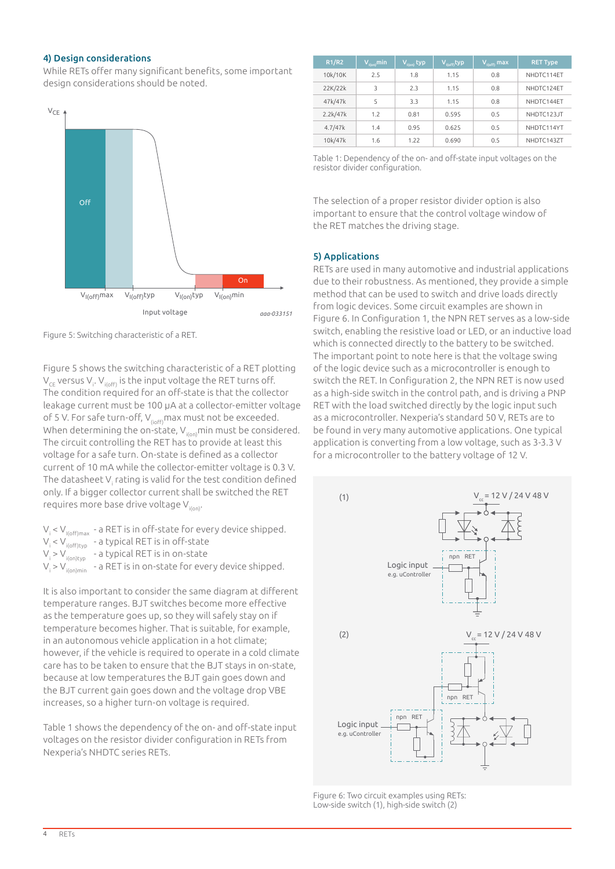#### 4) Design considerations

While RETs offer many significant benefits, some important design considerations should be noted.



| R1/R2    | $V_{\text{I(on)}}$ min | $V_{I(on)}$ typ | $V_{I(\text{off})}$ typ | V <sub>i(off)</sub> max | <b>RET Type</b> |
|----------|------------------------|-----------------|-------------------------|-------------------------|-----------------|
| 10k/10K  | 2.5                    | 1.8             | 1.15                    | 0.8                     | NHDTC114ET      |
| 22K/22k  | 3                      | 2.3             | 1.15                    | 0.8                     | NHDTC124ET      |
| 47k/47k  | 5                      | 3.3             | 1.15                    | 0.8                     | NHDTC144ET      |
| 2.2k/47k | 1.7                    | 0.81            | 0.595                   | 0.5                     | NHDTC123JT      |
| 4.7/47k  | 1.4                    | 0.95            | 0.625                   | 0.5                     | NHDTC114YT      |
| 10k/47k  | 1.6                    | 1.22            | 0.690                   | 0.5                     | NHDTC143ZT      |

Table 1: Dependency of the on- and off-state input voltages on the resistor divider configuration.

The selection of a proper resistor divider option is also important to ensure that the control voltage window of the RET matches the driving stage.

# 5) Applications

RETs are used in many automotive and industrial applications due to their robustness. As mentioned, they provide a simple method that can be used to switch and drive loads directly from logic devices. Some circuit examples are shown in Figure 6. In Configuration 1, the NPN RET serves as a low-side switch, enabling the resistive load or LED, or an inductive load which is connected directly to the battery to be switched. The important point to note here is that the voltage swing of the logic device such as a microcontroller is enough to switch the RET. In Configuration 2, the NPN RET is now used as a high-side switch in the control path, and is driving a PNP RET with the load switched directly by the logic input such as a microcontroller. Nexperia's standard 50 V, RETs are to be found in very many automotive applications. One typical application is converting from a low voltage, such as 3-3.3 V for a microcontroller to the battery voltage of 12 V.



Figure 6: Two circuit examples using RETs: Low-side switch (1), high-side switch (2)

Figure 5: Switching characteristic of a RET.

Figure 5 shows the switching characteristic of a RET plotting  $\rm V_{\rm CE}$  versus V<sub>i</sub>. V<sub>i(off)</sub> is the input voltage the RET turns off. The condition required for an off-state is that the collector leakage current must be 100 µA at a collector-emitter voltage of 5 V. For safe turn-off,  $V_{(ioff)}$ max must not be exceeded. When determining the on-state,  $V_{\text{ion}}$ min must be considered. The circuit controlling the RET has to provide at least this voltage for a safe turn. On-state is defined as a collector current of 10 mA while the collector-emitter voltage is 0.3 V. The datasheet V $_{\sf i}$  rating is valid for the test condition defined only. If a bigger collector current shall be switched the RET requires more base drive voltage V<sub>i(on)</sub>.

 $\mathsf{V}_{\mathsf{i}}$  <  $\mathsf{V}_{\mathsf{I}(\mathsf{off})\mathsf{max}}$  - a RET is in off-state for every device shipped. Vi < Vi(off)typ - a typical RET is in off-state V<sub>i</sub> > V<sub>i(on)typ</sub> - a typical RET is in on-state Vi > Vi(on)min - a RET is in on-state for every device shipped.

It is also important to consider the same diagram at different temperature ranges. BJT switches become more effective as the temperature goes up, so they will safely stay on if temperature becomes higher. That is suitable, for example, in an autonomous vehicle application in a hot climate; however, if the vehicle is required to operate in a cold climate care has to be taken to ensure that the BJT stays in on-state, because at low temperatures the BJT gain goes down and the BJT current gain goes down and the voltage drop VBE increases, so a higher turn-on voltage is required.

Table 1 shows the dependency of the on- and off-state input voltages on the resistor divider configuration in RETs from Nexperia's NHDTC series RETs.